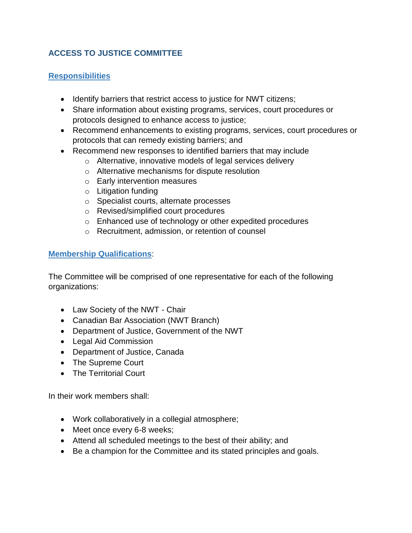## **ACCESS TO JUSTICE COMMITTEE**

## **Responsibilities**

- Identify barriers that restrict access to justice for NWT citizens;
- Share information about existing programs, services, court procedures or protocols designed to enhance access to justice;
- Recommend enhancements to existing programs, services, court procedures or protocols that can remedy existing barriers; and
- Recommend new responses to identified barriers that may include
	- o Alternative, innovative models of legal services delivery
	- o Alternative mechanisms for dispute resolution
	- o Early intervention measures
	- o Litigation funding
	- o Specialist courts, alternate processes
	- o Revised/simplified court procedures
	- o Enhanced use of technology or other expedited procedures
	- o Recruitment, admission, or retention of counsel

## **Membership Qualifications**:

The Committee will be comprised of one representative for each of the following organizations:

- Law Society of the NWT Chair
- Canadian Bar Association (NWT Branch)
- Department of Justice, Government of the NWT
- Legal Aid Commission
- Department of Justice, Canada
- The Supreme Court
- The Territorial Court

In their work members shall:

- Work collaboratively in a collegial atmosphere;
- Meet once every 6-8 weeks;
- Attend all scheduled meetings to the best of their ability; and
- Be a champion for the Committee and its stated principles and goals.